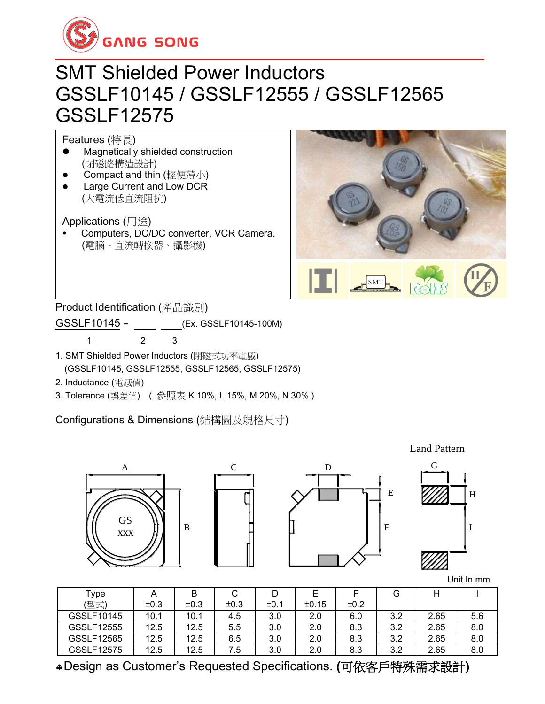

### SMT Shielded Power Inductors GSSLF10145 / GSSLF12555 / GSSLF12565 GSSLF12575

Features (特長)

- ⚫ Magnetically shielded construction (閉磁路構造設計)
- Compact and thin (輕便薄小)
- ⚫ Large Current and Low DCR (大電流低直流阻抗)

Applications (用途)

 Computers, DC/DC converter, VCR Camera. (電腦、直流轉換器、攝影機)



Product Identification (產品識別)

GSSLF10145 - \_\_\_ \_\_ \_\_ (Ex. GSSLF10145-100M)

1 2 3

- 1. SMT Shielded Power Inductors (閉磁式功率電感) (GSSLF10145, GSSLF12555, GSSLF12565, GSSLF12575)
- 2. Inductance (電感值)
- 3. Tolerance (誤差值) ( 參照表 K 10%, L 15%, M 20%, N 30% )

Configurations & Dimensions (結構圖及規格尺寸)







F

E

| Type       | A    | B    | С    |      | Е     |      | G   |      |     |
|------------|------|------|------|------|-------|------|-----|------|-----|
| (型式)       | ±0.3 | ±0.3 | ±0.3 | ±0.1 | ±0.15 | ±0.2 |     |      |     |
| GSSLF10145 | 10.1 | 10.1 | 4.5  | 3.0  | 2.0   | 6.0  | 3.2 | 2.65 | 5.6 |
| GSSLF12555 | 12.5 | 12.5 | 5.5  | 3.0  | 2.0   | 8.3  | 3.2 | 2.65 | 8.0 |
| GSSLF12565 | 12.5 | 12.5 | 6.5  | 3.0  | 2.0   | 8.3  | 3.2 | 2.65 | 8.0 |
| GSSLF12575 | 12.5 | 12.5 | 7.5  | 3.0  | 2.0   | 8.3  | 3.2 | 2.65 | 8.0 |

Design as Customer's Requested Specifications. (可依客戶特殊需求設計)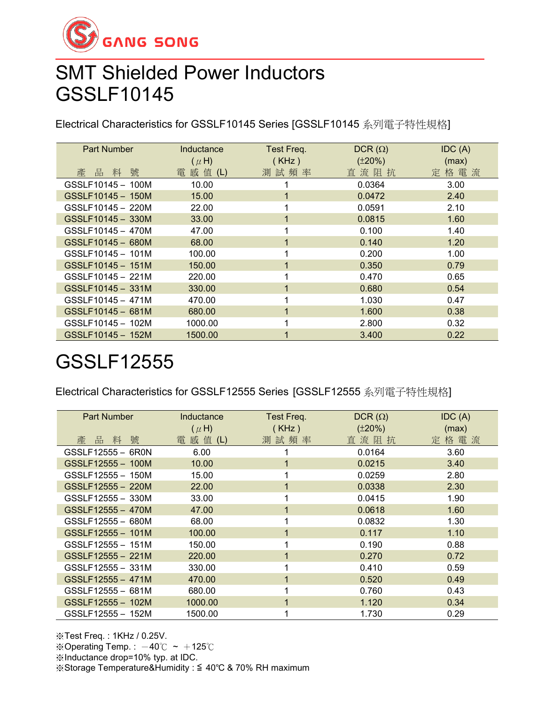

### SMT Shielded Power Inductors GSSLF10145

Electrical Characteristics for GSSLF10145 Series [GSSLF10145 系列電子特性規格]

| <b>Part Number</b> | Inductance | Test Freq. | $DCR(\Omega)$ | IDC(A) |
|--------------------|------------|------------|---------------|--------|
|                    | $(\mu H)$  | (KHz)      | $(\pm 20\%)$  | (max)  |
| 號<br>品<br>料<br>產   | 電 感 值 (L)  | 測試頻率       | 直流阻抗          | 定格電流   |
| GSSLF10145 - 100M  | 10.00      |            | 0.0364        | 3.00   |
| GSSLF10145 - 150M  | 15.00      |            | 0.0472        | 2.40   |
| GSSLF10145 - 220M  | 22.00      |            | 0.0591        | 2.10   |
| GSSLF10145 - 330M  | 33.00      |            | 0.0815        | 1.60   |
| GSSLF10145 - 470M  | 47.00      |            | 0.100         | 1.40   |
| GSSLF10145 - 680M  | 68.00      |            | 0.140         | 1.20   |
| GSSLF10145 - 101M  | 100.00     |            | 0.200         | 1.00   |
| GSSLF10145 - 151M  | 150.00     |            | 0.350         | 0.79   |
| GSSLF10145 - 221M  | 220.00     |            | 0.470         | 0.65   |
| GSSLF10145 - 331M  | 330.00     |            | 0.680         | 0.54   |
| GSSLF10145 - 471M  | 470.00     |            | 1.030         | 0.47   |
| GSSLF10145 - 681M  | 680.00     |            | 1.600         | 0.38   |
| GSSLF10145 - 102M  | 1000.00    |            | 2.800         | 0.32   |
| GSSLF10145 - 152M  | 1500.00    |            | 3.400         | 0.22   |

## GSSLF12555

Electrical Characteristics for GSSLF12555 Series [GSSLF12555 系列電子特性規格]

| Part Number       | Inductance   | Test Freq. | $DCR(\Omega)$ | IDC(A) |
|-------------------|--------------|------------|---------------|--------|
|                   | $(\mu H)$    | (KHz)      | $(\pm 20\%)$  | (max)  |
| 號<br>產<br>料<br>品  | 感 值 (L)<br>電 | 測試頻率       | 直 流 阻 抗       | 定格電流   |
| GSSLF12555 - 6R0N | 6.00         |            | 0.0164        | 3.60   |
| GSSLF12555 - 100M | 10.00        |            | 0.0215        | 3.40   |
| GSSLF12555 - 150M | 15.00        |            | 0.0259        | 2.80   |
| GSSLF12555 - 220M | 22.00        |            | 0.0338        | 2.30   |
| GSSLF12555 - 330M | 33.00        |            | 0.0415        | 1.90   |
| GSSLF12555 - 470M | 47.00        |            | 0.0618        | 1.60   |
| GSSLF12555 - 680M | 68.00        |            | 0.0832        | 1.30   |
| GSSLF12555 - 101M | 100.00       |            | 0.117         | 1.10   |
| GSSLF12555 - 151M | 150.00       |            | 0.190         | 0.88   |
| GSSLF12555 - 221M | 220.00       |            | 0.270         | 0.72   |
| GSSLF12555 - 331M | 330.00       |            | 0.410         | 0.59   |
| GSSLF12555 - 471M | 470.00       |            | 0.520         | 0.49   |
| GSSLF12555 - 681M | 680.00       |            | 0.760         | 0.43   |
| GSSLF12555 - 102M | 1000.00      | 1          | 1.120         | 0.34   |
| GSSLF12555 - 152M | 1500.00      |            | 1.730         | 0.29   |

※Test Freq. : 1KHz / 0.25V. ※Operating Temp.:  $-40^{\circ}$ C ~  $+125^{\circ}$ C ※Inductance drop=10% typ. at IDC. ※Storage Temperature&Humidity : ≦ 40℃ & 70% RH maximum